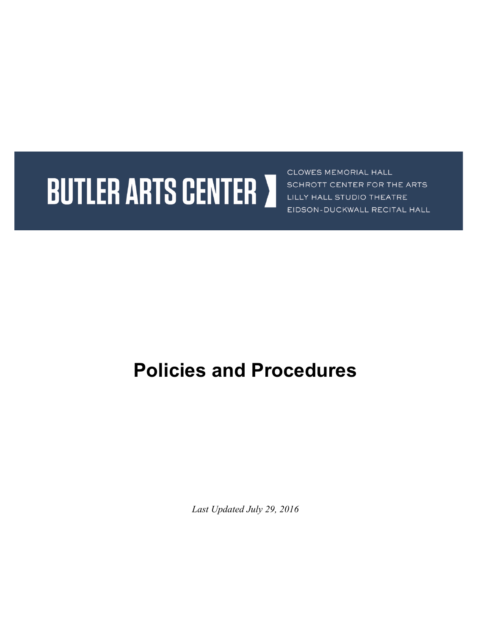# **BUTLER ARTS CENTER 7**

CLOWES MEMORIAL HALL SCHROTT CENTER FOR THE ARTS LILLY HALL STUDIO THEATRE EIDSON-DUCKWALL RECITAL HALL

## **Policies and Procedures**

*Last Updated July 29, 2016*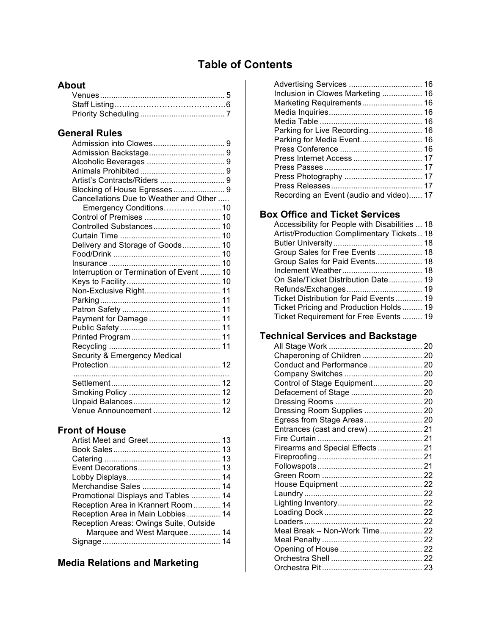## **Table of Contents**

## **About**

### **General Rules**

| Blocking of House Egresses 9             |  |
|------------------------------------------|--|
| Cancellations Due to Weather and Other   |  |
| Emergency Conditions10                   |  |
|                                          |  |
| Controlled Substances 10                 |  |
|                                          |  |
| Delivery and Storage of Goods 10         |  |
|                                          |  |
|                                          |  |
| Interruption or Termination of Event  10 |  |
|                                          |  |
| Non-Exclusive Right 11                   |  |
|                                          |  |
|                                          |  |
| Payment for Damage  11                   |  |
|                                          |  |
|                                          |  |
|                                          |  |
| Security & Emergency Medical             |  |
|                                          |  |
|                                          |  |
|                                          |  |
|                                          |  |
|                                          |  |
| Venue Announcement  12                   |  |

## **Front of House**

| Promotional Displays and Tables  14    |  |
|----------------------------------------|--|
| Reception Area in Krannert Room  14    |  |
| Reception Area in Main Lobbies 14      |  |
| Reception Areas: Owings Suite, Outside |  |
| Marquee and West Marquee 14            |  |
|                                        |  |
|                                        |  |

## **Media Relations and Marketing**

| Advertising Services  16                |  |
|-----------------------------------------|--|
| Inclusion in Clowes Marketing  16       |  |
| Marketing Requirements 16               |  |
|                                         |  |
|                                         |  |
| Parking for Live Recording 16           |  |
| Parking for Media Event 16              |  |
|                                         |  |
| Press Internet Access  17               |  |
|                                         |  |
|                                         |  |
|                                         |  |
| Recording an Event (audio and video) 17 |  |

## **Box Office and Ticket Services**

| Accessibility for People with Disabilities  18 |
|------------------------------------------------|
| Artist/Production Complimentary Tickets 18     |
|                                                |
| Group Sales for Free Events  18                |
| Group Sales for Paid Events 18                 |
|                                                |
| On Sale/Ticket Distribution Date 19            |
|                                                |
| Ticket Distribution for Paid Events 19         |
| Ticket Pricing and Production Holds 19         |
| Ticket Requirement for Free Events  19         |
|                                                |

## **Technical Services and Backstage**

| Chaperoning of Children  20     |  |
|---------------------------------|--|
| Conduct and Performance 20      |  |
|                                 |  |
| Control of Stage Equipment 20   |  |
|                                 |  |
|                                 |  |
| Dressing Room Supplies  20      |  |
|                                 |  |
| Entrances (cast and crew)  21   |  |
|                                 |  |
| Firearms and Special Effects 21 |  |
|                                 |  |
|                                 |  |
|                                 |  |
|                                 |  |
|                                 |  |
|                                 |  |
|                                 |  |
|                                 |  |
| Meal Break - Non-Work Time 22   |  |
|                                 |  |
|                                 |  |
|                                 |  |
|                                 |  |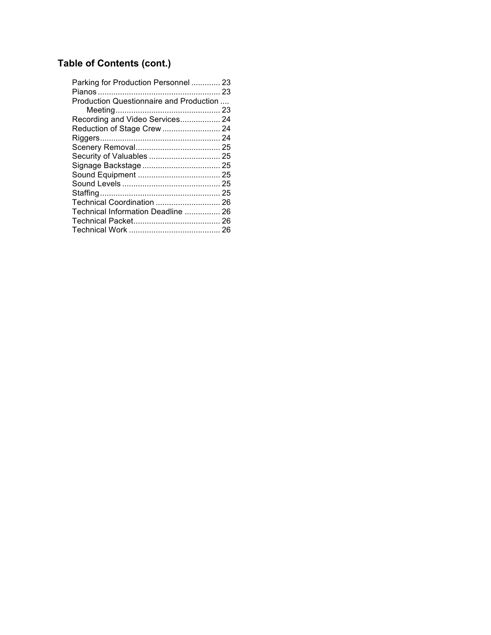## **Table of Contents (cont.)**

| Parking for Production Personnel  23    |  |
|-----------------------------------------|--|
|                                         |  |
| Production Questionnaire and Production |  |
|                                         |  |
| Recording and Video Services 24         |  |
| Reduction of Stage Crew  24             |  |
|                                         |  |
|                                         |  |
| Security of Valuables  25               |  |
|                                         |  |
|                                         |  |
|                                         |  |
|                                         |  |
| Technical Coordination  26              |  |
| Technical Information Deadline  26      |  |
|                                         |  |
|                                         |  |
|                                         |  |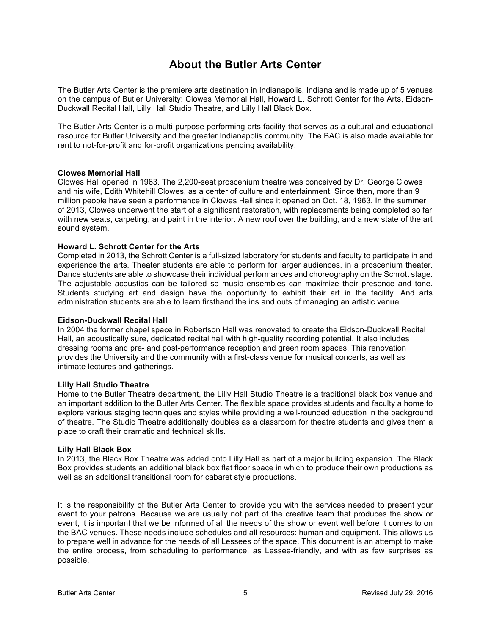## **About the Butler Arts Center**

The Butler Arts Center is the premiere arts destination in Indianapolis, Indiana and is made up of 5 venues on the campus of Butler University: Clowes Memorial Hall, Howard L. Schrott Center for the Arts, Eidson-Duckwall Recital Hall, Lilly Hall Studio Theatre, and Lilly Hall Black Box.

The Butler Arts Center is a multi-purpose performing arts facility that serves as a cultural and educational resource for Butler University and the greater Indianapolis community. The BAC is also made available for rent to not-for-profit and for-profit organizations pending availability.

#### **Clowes Memorial Hall**

Clowes Hall opened in 1963. The 2,200-seat proscenium theatre was conceived by Dr. George Clowes and his wife, Edith Whitehill Clowes, as a center of culture and entertainment. Since then, more than 9 million people have seen a performance in Clowes Hall since it opened on Oct. 18, 1963. In the summer of 2013, Clowes underwent the start of a significant restoration, with replacements being completed so far with new seats, carpeting, and paint in the interior. A new roof over the building, and a new state of the art sound system.

#### **Howard L. Schrott Center for the Arts**

Completed in 2013, the Schrott Center is a full-sized laboratory for students and faculty to participate in and experience the arts. Theater students are able to perform for larger audiences, in a proscenium theater. Dance students are able to showcase their individual performances and choreography on the Schrott stage. The adjustable acoustics can be tailored so music ensembles can maximize their presence and tone. Students studying art and design have the opportunity to exhibit their art in the facility. And arts administration students are able to learn firsthand the ins and outs of managing an artistic venue.

#### **Eidson-Duckwall Recital Hall**

In 2004 the former chapel space in Robertson Hall was renovated to create the Eidson-Duckwall Recital Hall, an acoustically sure, dedicated recital hall with high-quality recording potential. It also includes dressing rooms and pre- and post-performance reception and green room spaces. This renovation provides the University and the community with a first-class venue for musical concerts, as well as intimate lectures and gatherings.

#### **Lilly Hall Studio Theatre**

Home to the Butler Theatre department, the Lilly Hall Studio Theatre is a traditional black box venue and an important addition to the Butler Arts Center. The flexible space provides students and faculty a home to explore various staging techniques and styles while providing a well-rounded education in the background of theatre. The Studio Theatre additionally doubles as a classroom for theatre students and gives them a place to craft their dramatic and technical skills.

#### **Lilly Hall Black Box**

In 2013, the Black Box Theatre was added onto Lilly Hall as part of a major building expansion. The Black Box provides students an additional black box flat floor space in which to produce their own productions as well as an additional transitional room for cabaret style productions.

It is the responsibility of the Butler Arts Center to provide you with the services needed to present your event to your patrons. Because we are usually not part of the creative team that produces the show or event, it is important that we be informed of all the needs of the show or event well before it comes to on the BAC venues. These needs include schedules and all resources: human and equipment. This allows us to prepare well in advance for the needs of all Lessees of the space. This document is an attempt to make the entire process, from scheduling to performance, as Lessee-friendly, and with as few surprises as possible.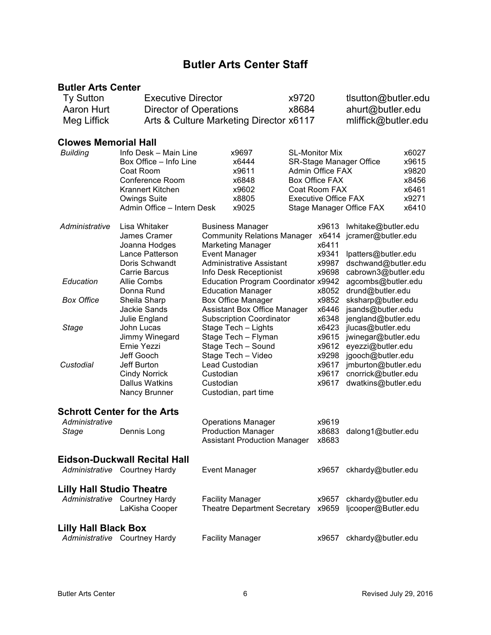## **Butler Arts Center Staff**

#### **Butler Arts Center**

| <b>Ty Sutton</b><br>Aaron Hurt<br>Meg Liffick |                            | <b>Executive Director</b><br><b>Director of Operations</b><br>Arts & Culture Marketing Director x6117 |                             | tlsutton@butler.edu<br>ahurt@butler.edu<br>mliffick@butler.edu |       |
|-----------------------------------------------|----------------------------|-------------------------------------------------------------------------------------------------------|-----------------------------|----------------------------------------------------------------|-------|
| <b>Clowes Memorial Hall</b>                   |                            |                                                                                                       |                             |                                                                |       |
| Building                                      | Info Desk - Main Line      | x9697                                                                                                 |                             | <b>SL-Monitor Mix</b>                                          |       |
|                                               | Box Office - Info Line     | x6444                                                                                                 | SR-Stage Manager Office     |                                                                | x9615 |
|                                               | Coat Room                  | x9611                                                                                                 | Admin Office FAX            |                                                                | x9820 |
|                                               | Conference Room            | x6848                                                                                                 | Box Office FAX              |                                                                | x8456 |
|                                               | Krannert Kitchen           | x9602                                                                                                 | Coat Room FAX               |                                                                | x6461 |
|                                               | Owings Suite               | x8805                                                                                                 | <b>Executive Office FAX</b> |                                                                | x9271 |
|                                               | Admin Office - Intern Desk | x9025                                                                                                 | Stage Manager Office FAX    |                                                                | x6410 |

| Administrative                   | Lisa Whitaker<br>James Cramer<br>Joanna Hodges<br>Lance Patterson<br>Doris Schwandt<br>Carrie Barcus | <b>Business Manager</b><br><b>Community Relations Manager</b><br><b>Marketing Manager</b><br><b>Event Manager</b><br><b>Administrative Assistant</b> | x9613<br>x6414<br>x6411<br>x9341<br>x9987<br>x9698 | lwhitake@butler.edu<br>jcramer@butler.edu<br>lpatters@butler.edu<br>dschwand@butler.edu<br>cabrown3@butler.edu |
|----------------------------------|------------------------------------------------------------------------------------------------------|------------------------------------------------------------------------------------------------------------------------------------------------------|----------------------------------------------------|----------------------------------------------------------------------------------------------------------------|
| Education                        | <b>Allie Combs</b><br>Donna Rund                                                                     | Info Desk Receptionist<br>Education Program Coordinator x9942<br><b>Education Manager</b>                                                            | x8052                                              | agcombs@butler.edu<br>drund@butler.edu                                                                         |
| <b>Box Office</b>                | Sheila Sharp<br>Jackie Sands<br>Julie England                                                        | <b>Box Office Manager</b><br>Assistant Box Office Manager<br><b>Subscription Coordinator</b>                                                         | x9852<br>x6446<br>x6348                            | sksharp@butler.edu<br>jsands@butler.edu<br>jengland@butler.edu                                                 |
| Stage                            | John Lucas<br>Jimmy Winegard<br>Ernie Yezzi<br>Jeff Gooch                                            | Stage Tech - Lights<br>Stage Tech - Flyman<br>Stage Tech - Sound<br>Stage Tech - Video                                                               | x6423<br>x9615<br>x9612<br>x9298                   | jlucas@butler.edu<br>jwinegar@butler.edu<br>eyezzi@butler.edu<br>jgooch@butler.edu                             |
| Custodial                        | Jeff Burton<br><b>Cindy Norrick</b><br><b>Dallus Watkins</b><br>Nancy Brunner                        | Lead Custodian<br>Custodian<br>Custodian<br>Custodian, part time                                                                                     | x9617<br>x9617<br>x9617                            | jmburton@butler.edu<br>cnorrick@butler.edu<br>dwatkins@butler.edu                                              |
| Administrative<br>Stage          | <b>Schrott Center for the Arts</b><br>Dennis Long                                                    | <b>Operations Manager</b><br><b>Production Manager</b><br><b>Assistant Production Manager</b>                                                        | x9619<br>x8683<br>x8683                            | dalong1@butler.edu                                                                                             |
|                                  | Eidson-Duckwall Recital Hall<br>Administrative Courtney Hardy                                        | <b>Event Manager</b>                                                                                                                                 | x9657                                              | ckhardy@butler.edu                                                                                             |
| <b>Lilly Hall Studio Theatre</b> | Administrative Courtney Hardy<br>LaKisha Cooper                                                      | <b>Facility Manager</b><br><b>Theatre Department Secretary</b>                                                                                       | x9657<br>x9659                                     | ckhardy@butler.edu<br>ljcooper@Butler.edu                                                                      |
| <b>Lilly Hall Black Box</b>      |                                                                                                      |                                                                                                                                                      |                                                    |                                                                                                                |

Administrative Courtney Hardy Facility Manager **x9657** ckhardy@butler.edu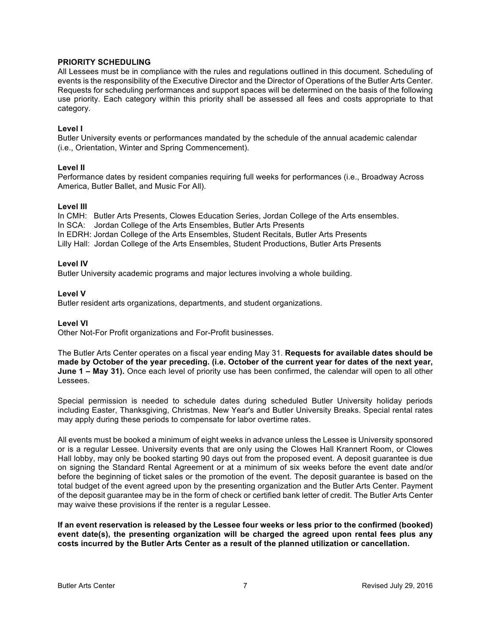#### **PRIORITY SCHEDULING**

All Lessees must be in compliance with the rules and regulations outlined in this document. Scheduling of events is the responsibility of the Executive Director and the Director of Operations of the Butler Arts Center. Requests for scheduling performances and support spaces will be determined on the basis of the following use priority. Each category within this priority shall be assessed all fees and costs appropriate to that category.

#### **Level I**

Butler University events or performances mandated by the schedule of the annual academic calendar (i.e., Orientation, Winter and Spring Commencement).

#### **Level II**

Performance dates by resident companies requiring full weeks for performances (i.e., Broadway Across America, Butler Ballet, and Music For All).

#### **Level III**

In CMH: Butler Arts Presents, Clowes Education Series, Jordan College of the Arts ensembles. In SCA: Jordan College of the Arts Ensembles, Butler Arts Presents In EDRH: Jordan College of the Arts Ensembles, Student Recitals, Butler Arts Presents Lilly Hall: Jordan College of the Arts Ensembles, Student Productions, Butler Arts Presents

#### **Level IV**

Butler University academic programs and major lectures involving a whole building.

#### **Level V**

Butler resident arts organizations, departments, and student organizations.

#### **Level VI**

Other Not-For Profit organizations and For-Profit businesses.

The Butler Arts Center operates on a fiscal year ending May 31. **Requests for available dates should be made by October of the year preceding. (i.e. October of the current year for dates of the next year, June 1 – May 31).** Once each level of priority use has been confirmed, the calendar will open to all other Lessees.

Special permission is needed to schedule dates during scheduled Butler University holiday periods including Easter, Thanksgiving, Christmas, New Year's and Butler University Breaks. Special rental rates may apply during these periods to compensate for labor overtime rates.

All events must be booked a minimum of eight weeks in advance unless the Lessee is University sponsored or is a regular Lessee. University events that are only using the Clowes Hall Krannert Room, or Clowes Hall lobby, may only be booked starting 90 days out from the proposed event. A deposit guarantee is due on signing the Standard Rental Agreement or at a minimum of six weeks before the event date and/or before the beginning of ticket sales or the promotion of the event. The deposit guarantee is based on the total budget of the event agreed upon by the presenting organization and the Butler Arts Center. Payment of the deposit guarantee may be in the form of check or certified bank letter of credit. The Butler Arts Center may waive these provisions if the renter is a regular Lessee.

**If an event reservation is released by the Lessee four weeks or less prior to the confirmed (booked) event date(s), the presenting organization will be charged the agreed upon rental fees plus any costs incurred by the Butler Arts Center as a result of the planned utilization or cancellation.**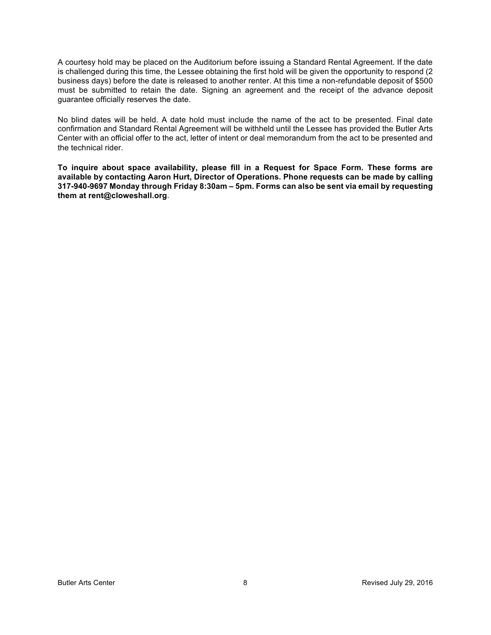A courtesy hold may be placed on the Auditorium before issuing a Standard Rental Agreement. If the date is challenged during this time, the Lessee obtaining the first hold will be given the opportunity to respond (2 business days) before the date is released to another renter. At this time a non-refundable deposit of \$500 must be submitted to retain the date. Signing an agreement and the receipt of the advance deposit guarantee officially reserves the date.

No blind dates will be held. A date hold must include the name of the act to be presented. Final date confirmation and Standard Rental Agreement will be withheld until the Lessee has provided the Butler Arts Center with an official offer to the act, letter of intent or deal memorandum from the act to be presented and the technical rider.

**To inquire about space availability, please fill in a Request for Space Form. These forms are available by contacting Aaron Hurt, Director of Operations. Phone requests can be made by calling 317-940-9697 Monday through Friday 8:30am – 5pm. Forms can also be sent via email by requesting them at rent@cloweshall.org.**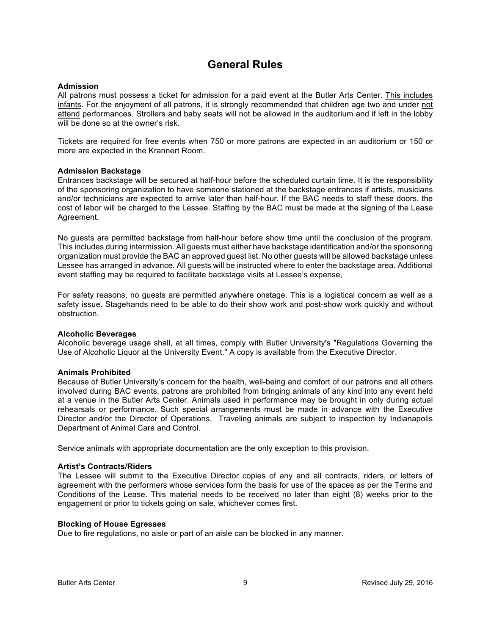## **General Rules**

#### **Admission**

All patrons must possess a ticket for admission for a paid event at the Butler Arts Center. This includes infants. For the enjoyment of all patrons, it is strongly recommended that children age two and under not attend performances. Strollers and baby seats will not be allowed in the auditorium and if left in the lobby will be done so at the owner's risk.

Tickets are required for free events when 750 or more patrons are expected in an auditorium or 150 or more are expected in the Krannert Room.

#### **Admission Backstage**

Entrances backstage will be secured at half-hour before the scheduled curtain time. It is the responsibility of the sponsoring organization to have someone stationed at the backstage entrances if artists, musicians and/or technicians are expected to arrive later than half-hour. If the BAC needs to staff these doors, the cost of labor will be charged to the Lessee. Staffing by the BAC must be made at the signing of the Lease Agreement.

No guests are permitted backstage from half-hour before show time until the conclusion of the program. This includes during intermission. All guests must either have backstage identification and/or the sponsoring organization must provide the BAC an approved guest list. No other guests will be allowed backstage unless Lessee has arranged in advance. All guests will be instructed where to enter the backstage area. Additional event staffing may be required to facilitate backstage visits at Lessee's expense,

For safety reasons, no guests are permitted anywhere onstage. This is a logistical concern as well as a safety issue. Stagehands need to be able to do their show work and post-show work quickly and without obstruction.

#### **Alcoholic Beverages**

Alcoholic beverage usage shall, at all times, comply with Butler University's "Regulations Governing the Use of Alcoholic Liquor at the University Event." A copy is available from the Executive Director.

#### **Animals Prohibited**

Because of Butler University's concern for the health, well-being and comfort of our patrons and all others involved during BAC events, patrons are prohibited from bringing animals of any kind into any event held at a venue in the Butler Arts Center. Animals used in performance may be brought in only during actual rehearsals or performance. Such special arrangements must be made in advance with the Executive Director and/or the Director of Operations. Traveling animals are subject to inspection by Indianapolis Department of Animal Care and Control.

Service animals with appropriate documentation are the only exception to this provision.

#### **Artist's Contracts/Riders**

The Lessee will submit to the Executive Director copies of any and all contracts, riders, or letters of agreement with the performers whose services form the basis for use of the spaces as per the Terms and Conditions of the Lease. This material needs to be received no later than eight (8) weeks prior to the engagement or prior to tickets going on sale, whichever comes first.

#### **Blocking of House Egresses**

Due to fire regulations, no aisle or part of an aisle can be blocked in any manner.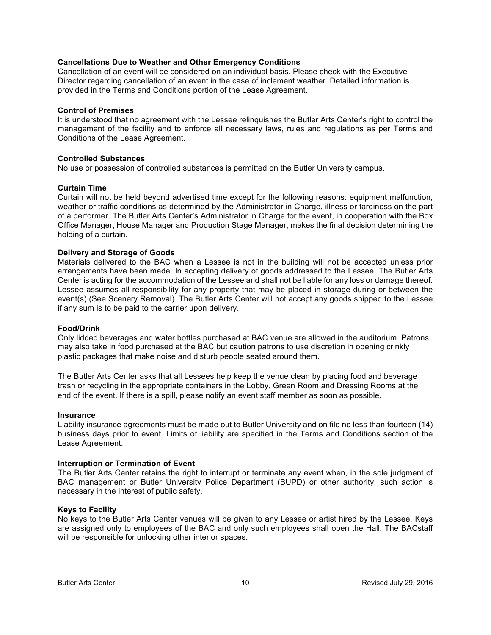#### **Cancellations Due to Weather and Other Emergency Conditions**

Cancellation of an event will be considered on an individual basis. Please check with the Executive Director regarding cancellation of an event in the case of inclement weather. Detailed information is provided in the Terms and Conditions portion of the Lease Agreement.

#### **Control of Premises**

It is understood that no agreement with the Lessee relinquishes the Butler Arts Center's right to control the management of the facility and to enforce all necessary laws, rules and regulations as per Terms and Conditions of the Lease Agreement.

#### **Controlled Substances**

No use or possession of controlled substances is permitted on the Butler University campus.

#### **Curtain Time**

Curtain will not be held beyond advertised time except for the following reasons: equipment malfunction, weather or traffic conditions as determined by the Administrator in Charge, illness or tardiness on the part of a performer. The Butler Arts Center's Administrator in Charge for the event, in cooperation with the Box Office Manager, House Manager and Production Stage Manager, makes the final decision determining the holding of a curtain.

#### **Delivery and Storage of Goods**

Materials delivered to the BAC when a Lessee is not in the building will not be accepted unless prior arrangements have been made. In accepting delivery of goods addressed to the Lessee, The Butler Arts Center is acting for the accommodation of the Lessee and shall not be liable for any loss or damage thereof. Lessee assumes all responsibility for any property that may be placed in storage during or between the event(s) (See Scenery Removal). The Butler Arts Center will not accept any goods shipped to the Lessee if any sum is to be paid to the carrier upon delivery.

#### **Food/Drink**

Only lidded beverages and water bottles purchased at BAC venue are allowed in the auditorium. Patrons may also take in food purchased at the BAC but caution patrons to use discretion in opening crinkly plastic packages that make noise and disturb people seated around them.

The Butler Arts Center asks that all Lessees help keep the venue clean by placing food and beverage trash or recycling in the appropriate containers in the Lobby, Green Room and Dressing Rooms at the end of the event. If there is a spill, please notify an event staff member as soon as possible.

#### **Insurance**

Liability insurance agreements must be made out to Butler University and on file no less than fourteen (14) business days prior to event. Limits of liability are specified in the Terms and Conditions section of the Lease Agreement.

#### **Interruption or Termination of Event**

The Butler Arts Center retains the right to interrupt or terminate any event when, in the sole judgment of BAC management or Butler University Police Department (BUPD) or other authority, such action is necessary in the interest of public safety.

#### **Keys to Facility**

No keys to the Butler Arts Center venues will be given to any Lessee or artist hired by the Lessee. Keys are assigned only to employees of the BAC and only such employees shall open the Hall. The BACstaff will be responsible for unlocking other interior spaces.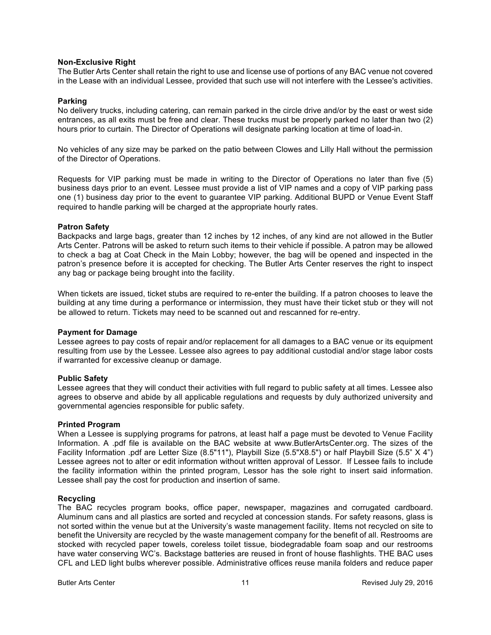#### **Non-Exclusive Right**

The Butler Arts Center shall retain the right to use and license use of portions of any BAC venue not covered in the Lease with an individual Lessee, provided that such use will not interfere with the Lessee's activities.

#### **Parking**

No delivery trucks, including catering, can remain parked in the circle drive and/or by the east or west side entrances, as all exits must be free and clear. These trucks must be properly parked no later than two (2) hours prior to curtain. The Director of Operations will designate parking location at time of load-in.

No vehicles of any size may be parked on the patio between Clowes and Lilly Hall without the permission of the Director of Operations.

Requests for VIP parking must be made in writing to the Director of Operations no later than five (5) business days prior to an event. Lessee must provide a list of VIP names and a copy of VIP parking pass one (1) business day prior to the event to guarantee VIP parking. Additional BUPD or Venue Event Staff required to handle parking will be charged at the appropriate hourly rates.

#### **Patron Safety**

Backpacks and large bags, greater than 12 inches by 12 inches, of any kind are not allowed in the Butler Arts Center. Patrons will be asked to return such items to their vehicle if possible. A patron may be allowed to check a bag at Coat Check in the Main Lobby; however, the bag will be opened and inspected in the patron's presence before it is accepted for checking. The Butler Arts Center reserves the right to inspect any bag or package being brought into the facility.

When tickets are issued, ticket stubs are required to re-enter the building. If a patron chooses to leave the building at any time during a performance or intermission, they must have their ticket stub or they will not be allowed to return. Tickets may need to be scanned out and rescanned for re-entry.

#### **Payment for Damage**

Lessee agrees to pay costs of repair and/or replacement for all damages to a BAC venue or its equipment resulting from use by the Lessee. Lessee also agrees to pay additional custodial and/or stage labor costs if warranted for excessive cleanup or damage.

#### **Public Safety**

Lessee agrees that they will conduct their activities with full regard to public safety at all times. Lessee also agrees to observe and abide by all applicable regulations and requests by duly authorized university and governmental agencies responsible for public safety.

#### **Printed Program**

When a Lessee is supplying programs for patrons, at least half a page must be devoted to Venue Facility Information. A .pdf file is available on the BAC website at www.ButlerArtsCenter.org. The sizes of the Facility Information .pdf are Letter Size (8.5"11"), Playbill Size (5.5"X8.5") or half Playbill Size (5.5" X 4") Lessee agrees not to alter or edit information without written approval of Lessor. If Lessee fails to include the facility information within the printed program, Lessor has the sole right to insert said information. Lessee shall pay the cost for production and insertion of same.

#### **Recycling**

The BAC recycles program books, office paper, newspaper, magazines and corrugated cardboard. Aluminum cans and all plastics are sorted and recycled at concession stands. For safety reasons, glass is not sorted within the venue but at the University's waste management facility. Items not recycled on site to benefit the University are recycled by the waste management company for the benefit of all. Restrooms are stocked with recycled paper towels, coreless toilet tissue, biodegradable foam soap and our restrooms have water conserving WC's. Backstage batteries are reused in front of house flashlights. THE BAC uses CFL and LED light bulbs wherever possible. Administrative offices reuse manila folders and reduce paper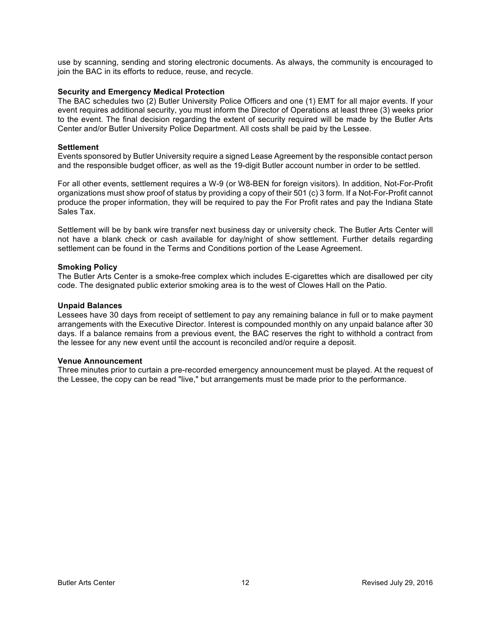use by scanning, sending and storing electronic documents. As always, the community is encouraged to join the BAC in its efforts to reduce, reuse, and recycle.

#### **Security and Emergency Medical Protection**

The BAC schedules two (2) Butler University Police Officers and one (1) EMT for all major events. If your event requires additional security, you must inform the Director of Operations at least three (3) weeks prior to the event. The final decision regarding the extent of security required will be made by the Butler Arts Center and/or Butler University Police Department. All costs shall be paid by the Lessee.

#### **Settlement**

Events sponsored by Butler University require a signed Lease Agreement by the responsible contact person and the responsible budget officer, as well as the 19-digit Butler account number in order to be settled.

For all other events, settlement requires a W-9 (or W8-BEN for foreign visitors). In addition, Not-For-Profit organizations must show proof of status by providing a copy of their 501 (c) 3 form. If a Not-For-Profit cannot produce the proper information, they will be required to pay the For Profit rates and pay the Indiana State Sales Tax.

Settlement will be by bank wire transfer next business day or university check. The Butler Arts Center will not have a blank check or cash available for day/night of show settlement. Further details regarding settlement can be found in the Terms and Conditions portion of the Lease Agreement.

#### **Smoking Policy**

The Butler Arts Center is a smoke-free complex which includes E-cigarettes which are disallowed per city code. The designated public exterior smoking area is to the west of Clowes Hall on the Patio.

#### **Unpaid Balances**

Lessees have 30 days from receipt of settlement to pay any remaining balance in full or to make payment arrangements with the Executive Director. Interest is compounded monthly on any unpaid balance after 30 days. If a balance remains from a previous event, the BAC reserves the right to withhold a contract from the lessee for any new event until the account is reconciled and/or require a deposit.

#### **Venue Announcement**

Three minutes prior to curtain a pre-recorded emergency announcement must be played. At the request of the Lessee, the copy can be read "live," but arrangements must be made prior to the performance.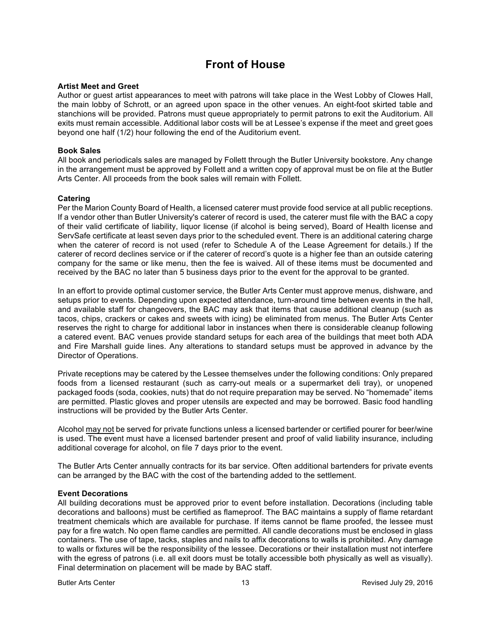## **Front of House**

#### **Artist Meet and Greet**

Author or guest artist appearances to meet with patrons will take place in the West Lobby of Clowes Hall, the main lobby of Schrott, or an agreed upon space in the other venues. An eight-foot skirted table and stanchions will be provided. Patrons must queue appropriately to permit patrons to exit the Auditorium. All exits must remain accessible. Additional labor costs will be at Lessee's expense if the meet and greet goes beyond one half (1/2) hour following the end of the Auditorium event.

#### **Book Sales**

All book and periodicals sales are managed by Follett through the Butler University bookstore. Any change in the arrangement must be approved by Follett and a written copy of approval must be on file at the Butler Arts Center. All proceeds from the book sales will remain with Follett.

#### **Catering**

Per the Marion County Board of Health, a licensed caterer must provide food service at all public receptions. If a vendor other than Butler University's caterer of record is used, the caterer must file with the BAC a copy of their valid certificate of liability, liquor license (if alcohol is being served), Board of Health license and ServSafe certificate at least seven days prior to the scheduled event. There is an additional catering charge when the caterer of record is not used (refer to Schedule A of the Lease Agreement for details.) If the caterer of record declines service or if the caterer of record's quote is a higher fee than an outside catering company for the same or like menu, then the fee is waived. All of these items must be documented and received by the BAC no later than 5 business days prior to the event for the approval to be granted.

In an effort to provide optimal customer service, the Butler Arts Center must approve menus, dishware, and setups prior to events. Depending upon expected attendance, turn-around time between events in the hall, and available staff for changeovers, the BAC may ask that items that cause additional cleanup (such as tacos, chips, crackers or cakes and sweets with icing) be eliminated from menus. The Butler Arts Center reserves the right to charge for additional labor in instances when there is considerable cleanup following a catered event. BAC venues provide standard setups for each area of the buildings that meet both ADA and Fire Marshall guide lines. Any alterations to standard setups must be approved in advance by the Director of Operations.

Private receptions may be catered by the Lessee themselves under the following conditions: Only prepared foods from a licensed restaurant (such as carry-out meals or a supermarket deli tray), or unopened packaged foods (soda, cookies, nuts) that do not require preparation may be served. No "homemade" items are permitted. Plastic gloves and proper utensils are expected and may be borrowed. Basic food handling instructions will be provided by the Butler Arts Center.

Alcohol may not be served for private functions unless a licensed bartender or certified pourer for beer/wine is used. The event must have a licensed bartender present and proof of valid liability insurance, including additional coverage for alcohol, on file 7 days prior to the event.

The Butler Arts Center annually contracts for its bar service. Often additional bartenders for private events can be arranged by the BAC with the cost of the bartending added to the settlement.

#### **Event Decorations**

All building decorations must be approved prior to event before installation. Decorations (including table decorations and balloons) must be certified as flameproof. The BAC maintains a supply of flame retardant treatment chemicals which are available for purchase. If items cannot be flame proofed, the lessee must pay for a fire watch. No open flame candles are permitted. All candle decorations must be enclosed in glass containers. The use of tape, tacks, staples and nails to affix decorations to walls is prohibited. Any damage to walls or fixtures will be the responsibility of the lessee. Decorations or their installation must not interfere with the egress of patrons (i.e. all exit doors must be totally accessible both physically as well as visually). Final determination on placement will be made by BAC staff.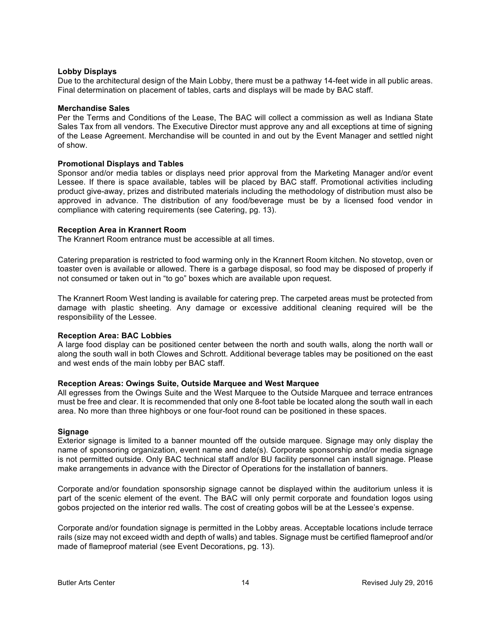#### **Lobby Displays**

Due to the architectural design of the Main Lobby, there must be a pathway 14-feet wide in all public areas. Final determination on placement of tables, carts and displays will be made by BAC staff.

#### **Merchandise Sales**

Per the Terms and Conditions of the Lease, The BAC will collect a commission as well as Indiana State Sales Tax from all vendors. The Executive Director must approve any and all exceptions at time of signing of the Lease Agreement. Merchandise will be counted in and out by the Event Manager and settled night of show.

#### **Promotional Displays and Tables**

Sponsor and/or media tables or displays need prior approval from the Marketing Manager and/or event Lessee. If there is space available, tables will be placed by BAC staff. Promotional activities including product give-away, prizes and distributed materials including the methodology of distribution must also be approved in advance. The distribution of any food/beverage must be by a licensed food vendor in compliance with catering requirements (see Catering, pg. 13).

#### **Reception Area in Krannert Room**

The Krannert Room entrance must be accessible at all times.

Catering preparation is restricted to food warming only in the Krannert Room kitchen. No stovetop, oven or toaster oven is available or allowed. There is a garbage disposal, so food may be disposed of properly if not consumed or taken out in "to go" boxes which are available upon request.

The Krannert Room West landing is available for catering prep. The carpeted areas must be protected from damage with plastic sheeting. Any damage or excessive additional cleaning required will be the responsibility of the Lessee.

#### **Reception Area: BAC Lobbies**

A large food display can be positioned center between the north and south walls, along the north wall or along the south wall in both Clowes and Schrott. Additional beverage tables may be positioned on the east and west ends of the main lobby per BAC staff.

#### **Reception Areas: Owings Suite, Outside Marquee and West Marquee**

All egresses from the Owings Suite and the West Marquee to the Outside Marquee and terrace entrances must be free and clear. It is recommended that only one 8-foot table be located along the south wall in each area. No more than three highboys or one four-foot round can be positioned in these spaces.

#### **Signage**

Exterior signage is limited to a banner mounted off the outside marquee. Signage may only display the name of sponsoring organization, event name and date(s). Corporate sponsorship and/or media signage is not permitted outside. Only BAC technical staff and/or BU facility personnel can install signage. Please make arrangements in advance with the Director of Operations for the installation of banners.

Corporate and/or foundation sponsorship signage cannot be displayed within the auditorium unless it is part of the scenic element of the event. The BAC will only permit corporate and foundation logos using gobos projected on the interior red walls. The cost of creating gobos will be at the Lessee's expense.

Corporate and/or foundation signage is permitted in the Lobby areas. Acceptable locations include terrace rails (size may not exceed width and depth of walls) and tables. Signage must be certified flameproof and/or made of flameproof material (see Event Decorations, pg. 13).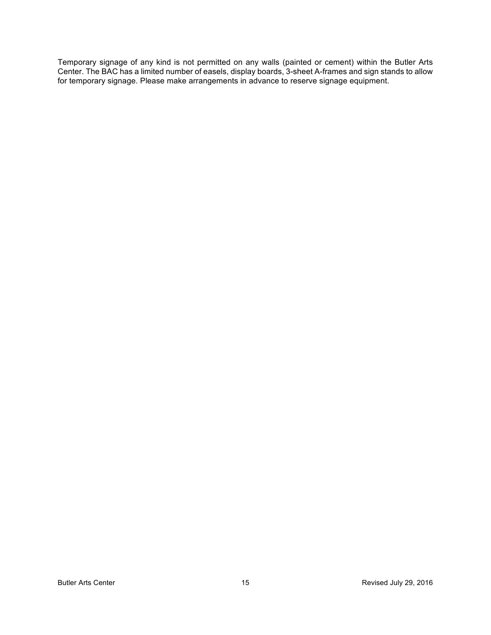Temporary signage of any kind is not permitted on any walls (painted or cement) within the Butler Arts Center. The BAC has a limited number of easels, display boards, 3-sheet A-frames and sign stands to allow for temporary signage. Please make arrangements in advance to reserve signage equipment.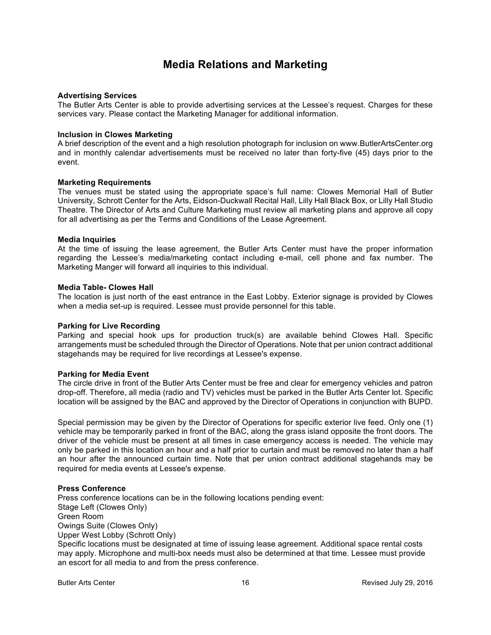## **Media Relations and Marketing**

#### **Advertising Services**

The Butler Arts Center is able to provide advertising services at the Lessee's request. Charges for these services vary. Please contact the Marketing Manager for additional information.

#### **Inclusion in Clowes Marketing**

A brief description of the event and a high resolution photograph for inclusion on www.ButlerArtsCenter.org and in monthly calendar advertisements must be received no later than forty-five (45) days prior to the event.

#### **Marketing Requirements**

The venues must be stated using the appropriate space's full name: Clowes Memorial Hall of Butler University, Schrott Center for the Arts, Eidson-Duckwall Recital Hall, Lilly Hall Black Box, or Lilly Hall Studio Theatre. The Director of Arts and Culture Marketing must review all marketing plans and approve all copy for all advertising as per the Terms and Conditions of the Lease Agreement.

#### **Media Inquiries**

At the time of issuing the lease agreement, the Butler Arts Center must have the proper information regarding the Lessee's media/marketing contact including e-mail, cell phone and fax number. The Marketing Manger will forward all inquiries to this individual.

#### **Media Table- Clowes Hall**

The location is just north of the east entrance in the East Lobby. Exterior signage is provided by Clowes when a media set-up is required. Lessee must provide personnel for this table.

#### **Parking for Live Recording**

Parking and special hook ups for production truck(s) are available behind Clowes Hall. Specific arrangements must be scheduled through the Director of Operations. Note that per union contract additional stagehands may be required for live recordings at Lessee's expense.

#### **Parking for Media Event**

The circle drive in front of the Butler Arts Center must be free and clear for emergency vehicles and patron drop-off. Therefore, all media (radio and TV) vehicles must be parked in the Butler Arts Center lot. Specific location will be assigned by the BAC and approved by the Director of Operations in conjunction with BUPD.

Special permission may be given by the Director of Operations for specific exterior live feed. Only one (1) vehicle may be temporarily parked in front of the BAC, along the grass island opposite the front doors. The driver of the vehicle must be present at all times in case emergency access is needed. The vehicle may only be parked in this location an hour and a half prior to curtain and must be removed no later than a half an hour after the announced curtain time. Note that per union contract additional stagehands may be required for media events at Lessee's expense.

#### **Press Conference**

Press conference locations can be in the following locations pending event: Stage Left (Clowes Only) Green Room Owings Suite (Clowes Only) Upper West Lobby (Schrott Only) Specific locations must be designated at time of issuing lease agreement. Additional space rental costs may apply. Microphone and multi-box needs must also be determined at that time. Lessee must provide

an escort for all media to and from the press conference.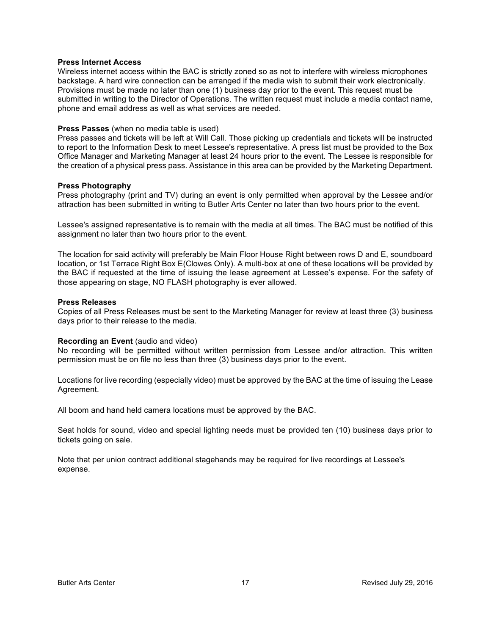#### **Press Internet Access**

Wireless internet access within the BAC is strictly zoned so as not to interfere with wireless microphones backstage. A hard wire connection can be arranged if the media wish to submit their work electronically. Provisions must be made no later than one (1) business day prior to the event. This request must be submitted in writing to the Director of Operations. The written request must include a media contact name, phone and email address as well as what services are needed.

#### **Press Passes** (when no media table is used)

Press passes and tickets will be left at Will Call. Those picking up credentials and tickets will be instructed to report to the Information Desk to meet Lessee's representative. A press list must be provided to the Box Office Manager and Marketing Manager at least 24 hours prior to the event. The Lessee is responsible for the creation of a physical press pass. Assistance in this area can be provided by the Marketing Department.

#### **Press Photography**

Press photography (print and TV) during an event is only permitted when approval by the Lessee and/or attraction has been submitted in writing to Butler Arts Center no later than two hours prior to the event.

Lessee's assigned representative is to remain with the media at all times. The BAC must be notified of this assignment no later than two hours prior to the event.

The location for said activity will preferably be Main Floor House Right between rows D and E, soundboard location, or 1st Terrace Right Box E(Clowes Only). A multi-box at one of these locations will be provided by the BAC if requested at the time of issuing the lease agreement at Lessee's expense. For the safety of those appearing on stage, NO FLASH photography is ever allowed.

#### **Press Releases**

Copies of all Press Releases must be sent to the Marketing Manager for review at least three (3) business days prior to their release to the media.

#### **Recording an Event** (audio and video)

No recording will be permitted without written permission from Lessee and/or attraction. This written permission must be on file no less than three (3) business days prior to the event.

Locations for live recording (especially video) must be approved by the BAC at the time of issuing the Lease Agreement.

All boom and hand held camera locations must be approved by the BAC.

Seat holds for sound, video and special lighting needs must be provided ten (10) business days prior to tickets going on sale.

Note that per union contract additional stagehands may be required for live recordings at Lessee's expense.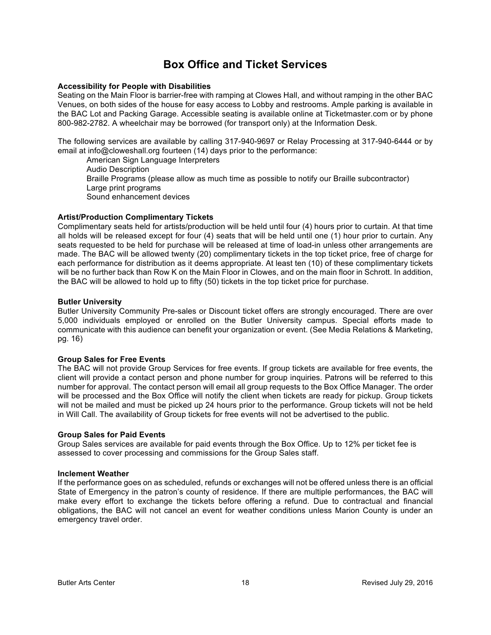## **Box Office and Ticket Services**

#### **Accessibility for People with Disabilities**

Seating on the Main Floor is barrier-free with ramping at Clowes Hall, and without ramping in the other BAC Venues, on both sides of the house for easy access to Lobby and restrooms. Ample parking is available in the BAC Lot and Packing Garage. Accessible seating is available online at Ticketmaster.com or by phone 800-982-2782. A wheelchair may be borrowed (for transport only) at the Information Desk.

The following services are available by calling 317-940-9697 or Relay Processing at 317-940-6444 or by email at info@cloweshall.org fourteen (14) days prior to the performance:

American Sign Language Interpreters Audio Description Braille Programs (please allow as much time as possible to notify our Braille subcontractor) Large print programs Sound enhancement devices

#### **Artist/Production Complimentary Tickets**

Complimentary seats held for artists/production will be held until four (4) hours prior to curtain. At that time all holds will be released except for four (4) seats that will be held until one (1) hour prior to curtain. Any seats requested to be held for purchase will be released at time of load-in unless other arrangements are made. The BAC will be allowed twenty (20) complimentary tickets in the top ticket price, free of charge for each performance for distribution as it deems appropriate. At least ten (10) of these complimentary tickets will be no further back than Row K on the Main Floor in Clowes, and on the main floor in Schrott. In addition, the BAC will be allowed to hold up to fifty (50) tickets in the top ticket price for purchase.

#### **Butler University**

Butler University Community Pre-sales or Discount ticket offers are strongly encouraged. There are over 5,000 individuals employed or enrolled on the Butler University campus. Special efforts made to communicate with this audience can benefit your organization or event. (See Media Relations & Marketing, pg. 16)

#### **Group Sales for Free Events**

The BAC will not provide Group Services for free events. If group tickets are available for free events, the client will provide a contact person and phone number for group inquiries. Patrons will be referred to this number for approval. The contact person will email all group requests to the Box Office Manager. The order will be processed and the Box Office will notify the client when tickets are ready for pickup. Group tickets will not be mailed and must be picked up 24 hours prior to the performance. Group tickets will not be held in Will Call. The availability of Group tickets for free events will not be advertised to the public.

#### **Group Sales for Paid Events**

Group Sales services are available for paid events through the Box Office. Up to 12% per ticket fee is assessed to cover processing and commissions for the Group Sales staff.

#### **Inclement Weather**

If the performance goes on as scheduled, refunds or exchanges will not be offered unless there is an official State of Emergency in the patron's county of residence. If there are multiple performances, the BAC will make every effort to exchange the tickets before offering a refund. Due to contractual and financial obligations, the BAC will not cancel an event for weather conditions unless Marion County is under an emergency travel order.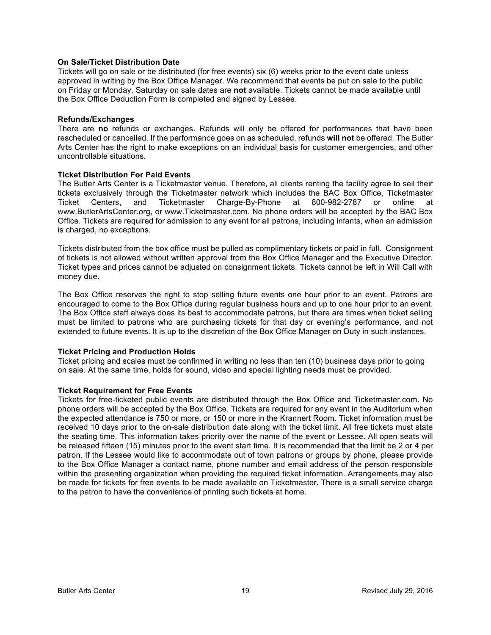#### **On Sale/Ticket Distribution Date**

Tickets will go on sale or be distributed (for free events) six (6) weeks prior to the event date unless approved in writing by the Box Office Manager. We recommend that events be put on sale to the public on Friday or Monday. Saturday on sale dates are **not** available. Tickets cannot be made available until the Box Office Deduction Form is completed and signed by Lessee.

#### **Refunds/Exchanges**

There are **no** refunds or exchanges. Refunds will only be offered for performances that have been rescheduled or cancelled. If the performance goes on as scheduled, refunds **will not** be offered. The Butler Arts Center has the right to make exceptions on an individual basis for customer emergencies, and other uncontrollable situations.

#### **Ticket Distribution For Paid Events**

The Butler Arts Center is a Ticketmaster venue. Therefore, all clients renting the facility agree to sell their tickets exclusively through the Ticketmaster network which includes the BAC Box Office, Ticketmaster Ticket Centers, and Ticketmaster Charge-By-Phone at 800-982-2787 or online at www.ButlerArtsCenter.org, or www.Ticketmaster.com. No phone orders will be accepted by the BAC Box Office. Tickets are required for admission to any event for all patrons, including infants, when an admission is charged, no exceptions.

Tickets distributed from the box office must be pulled as complimentary tickets or paid in full. Consignment of tickets is not allowed without written approval from the Box Office Manager and the Executive Director. Ticket types and prices cannot be adjusted on consignment tickets. Tickets cannot be left in Will Call with money due.

The Box Office reserves the right to stop selling future events one hour prior to an event. Patrons are encouraged to come to the Box Office during regular business hours and up to one hour prior to an event. The Box Office staff always does its best to accommodate patrons, but there are times when ticket selling must be limited to patrons who are purchasing tickets for that day or evening's performance, and not extended to future events. It is up to the discretion of the Box Office Manager on Duty in such instances.

#### **Ticket Pricing and Production Holds**

Ticket pricing and scales must be confirmed in writing no less than ten (10) business days prior to going on sale. At the same time, holds for sound, video and special lighting needs must be provided.

#### **Ticket Requirement for Free Events**

Tickets for free-ticketed public events are distributed through the Box Office and Ticketmaster.com. No phone orders will be accepted by the Box Office. Tickets are required for any event in the Auditorium when the expected attendance is 750 or more, or 150 or more in the Krannert Room. Ticket information must be received 10 days prior to the on-sale distribution date along with the ticket limit. All free tickets must state the seating time. This information takes priority over the name of the event or Lessee. All open seats will be released fifteen (15) minutes prior to the event start time. It is recommended that the limit be 2 or 4 per patron. If the Lessee would like to accommodate out of town patrons or groups by phone, please provide to the Box Office Manager a contact name, phone number and email address of the person responsible within the presenting organization when providing the required ticket information. Arrangements may also be made for tickets for free events to be made available on Ticketmaster. There is a small service charge to the patron to have the convenience of printing such tickets at home.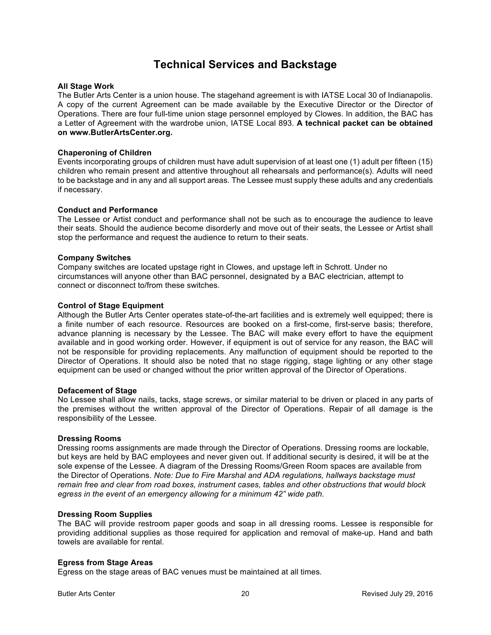## **Technical Services and Backstage**

#### **All Stage Work**

The Butler Arts Center is a union house. The stagehand agreement is with IATSE Local 30 of Indianapolis. A copy of the current Agreement can be made available by the Executive Director or the Director of Operations. There are four full-time union stage personnel employed by Clowes. In addition, the BAC has a Letter of Agreement with the wardrobe union, IATSE Local 893. **A technical packet can be obtained on www.ButlerArtsCenter.org.**

#### **Chaperoning of Children**

Events incorporating groups of children must have adult supervision of at least one (1) adult per fifteen (15) children who remain present and attentive throughout all rehearsals and performance(s). Adults will need to be backstage and in any and all support areas. The Lessee must supply these adults and any credentials if necessary.

#### **Conduct and Performance**

The Lessee or Artist conduct and performance shall not be such as to encourage the audience to leave their seats. Should the audience become disorderly and move out of their seats, the Lessee or Artist shall stop the performance and request the audience to return to their seats.

#### **Company Switches**

Company switches are located upstage right in Clowes, and upstage left in Schrott. Under no circumstances will anyone other than BAC personnel, designated by a BAC electrician, attempt to connect or disconnect to/from these switches.

#### **Control of Stage Equipment**

Although the Butler Arts Center operates state-of-the-art facilities and is extremely well equipped; there is a finite number of each resource. Resources are booked on a first-come, first-serve basis; therefore, advance planning is necessary by the Lessee. The BAC will make every effort to have the equipment available and in good working order. However, if equipment is out of service for any reason, the BAC will not be responsible for providing replacements. Any malfunction of equipment should be reported to the Director of Operations. It should also be noted that no stage rigging, stage lighting or any other stage equipment can be used or changed without the prior written approval of the Director of Operations.

#### **Defacement of Stage**

No Lessee shall allow nails, tacks, stage screws**,** or similar material to be driven or placed in any parts of the premises without the written approval of the Director of Operations. Repair of all damage is the responsibility of the Lessee.

#### **Dressing Rooms**

Dressing rooms assignments are made through the Director of Operations. Dressing rooms are lockable, but keys are held by BAC employees and never given out. If additional security is desired, it will be at the sole expense of the Lessee. A diagram of the Dressing Rooms/Green Room spaces are available from the Director of Operations. *Note: Due to Fire Marshal and ADA regulations, hallways backstage must remain free and clear from road boxes, instrument cases, tables and other obstructions that would block egress in the event of an emergency allowing for a minimum 42" wide path.*

#### **Dressing Room Supplies**

The BAC will provide restroom paper goods and soap in all dressing rooms. Lessee is responsible for providing additional supplies as those required for application and removal of make-up. Hand and bath towels are available for rental.

#### **Egress from Stage Areas**

Egress on the stage areas of BAC venues must be maintained at all times.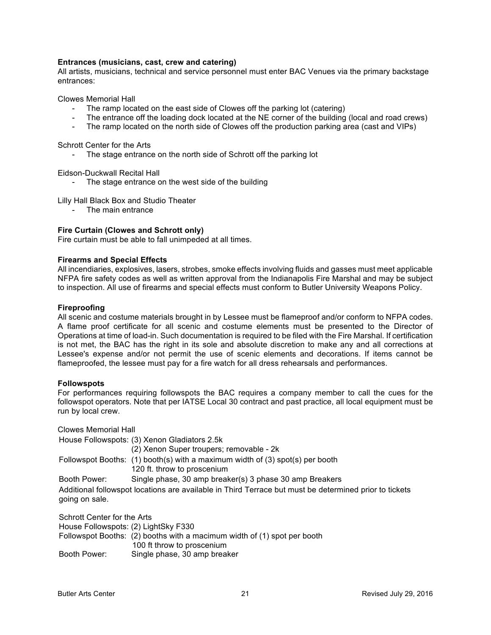#### **Entrances (musicians, cast, crew and catering)**

All artists, musicians, technical and service personnel must enter BAC Venues via the primary backstage entrances:

Clowes Memorial Hall

- The ramp located on the east side of Clowes off the parking lot (catering)
- The entrance off the loading dock located at the NE corner of the building (local and road crews)
- The ramp located on the north side of Clowes off the production parking area (cast and VIPs)

Schrott Center for the Arts

- The stage entrance on the north side of Schrott off the parking lot

Eidson-Duckwall Recital Hall

The stage entrance on the west side of the building

Lilly Hall Black Box and Studio Theater

- The main entrance

#### **Fire Curtain (Clowes and Schrott only)**

Fire curtain must be able to fall unimpeded at all times.

#### **Firearms and Special Effects**

All incendiaries, explosives, lasers, strobes, smoke effects involving fluids and gasses must meet applicable NFPA fire safety codes as well as written approval from the Indianapolis Fire Marshal and may be subject to inspection. All use of firearms and special effects must conform to Butler University Weapons Policy.

#### **Fireproofing**

All scenic and costume materials brought in by Lessee must be flameproof and/or conform to NFPA codes. A flame proof certificate for all scenic and costume elements must be presented to the Director of Operations at time of load-in. Such documentation is required to be filed with the Fire Marshal. If certification is not met, the BAC has the right in its sole and absolute discretion to make any and all corrections at Lessee's expense and/or not permit the use of scenic elements and decorations. If items cannot be flameproofed, the lessee must pay for a fire watch for all dress rehearsals and performances.

#### **Followspots**

For performances requiring followspots the BAC requires a company member to call the cues for the followspot operators. Note that per IATSE Local 30 contract and past practice, all local equipment must be run by local crew.

Clowes Memorial Hall

House Followspots: (3) Xenon Gladiators 2.5k

(2) Xenon Super troupers; removable - 2k Followspot Booths: (1) booth(s) with a maximum width of (3) spot(s) per booth 120 ft. throw to proscenium Booth Power: Single phase, 30 amp breaker(s) 3 phase 30 amp Breakers Additional followspot locations are available in Third Terrace but must be determined prior to tickets going on sale.

Schrott Center for the Arts House Followspots: (2) LightSky F330 Followspot Booths: (2) booths with a macimum width of (1) spot per booth 100 ft throw to proscenium Booth Power: Single phase, 30 amp breaker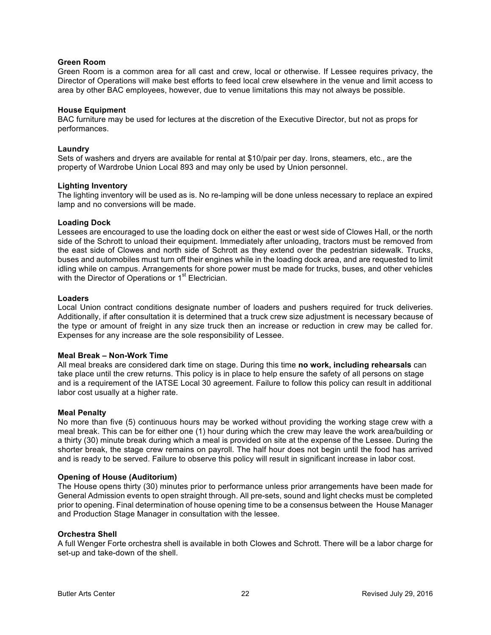#### **Green Room**

Green Room is a common area for all cast and crew, local or otherwise. If Lessee requires privacy, the Director of Operations will make best efforts to feed local crew elsewhere in the venue and limit access to area by other BAC employees, however, due to venue limitations this may not always be possible.

#### **House Equipment**

BAC furniture may be used for lectures at the discretion of the Executive Director, but not as props for performances.

#### **Laundry**

Sets of washers and dryers are available for rental at \$10/pair per day. Irons, steamers, etc., are the property of Wardrobe Union Local 893 and may only be used by Union personnel.

#### **Lighting Inventory**

The lighting inventory will be used as is. No re-lamping will be done unless necessary to replace an expired lamp and no conversions will be made.

#### **Loading Dock**

Lessees are encouraged to use the loading dock on either the east or west side of Clowes Hall, or the north side of the Schrott to unload their equipment. Immediately after unloading, tractors must be removed from the east side of Clowes and north side of Schrott as they extend over the pedestrian sidewalk. Trucks, buses and automobiles must turn off their engines while in the loading dock area, and are requested to limit idling while on campus. Arrangements for shore power must be made for trucks, buses, and other vehicles with the Director of Operations or 1<sup>st</sup> Electrician.

#### **Loaders**

Local Union contract conditions designate number of loaders and pushers required for truck deliveries. Additionally, if after consultation it is determined that a truck crew size adjustment is necessary because of the type or amount of freight in any size truck then an increase or reduction in crew may be called for. Expenses for any increase are the sole responsibility of Lessee.

#### **Meal Break – Non-Work Time**

All meal breaks are considered dark time on stage. During this time **no work, including rehearsals** can take place until the crew returns. This policy is in place to help ensure the safety of all persons on stage and is a requirement of the IATSE Local 30 agreement. Failure to follow this policy can result in additional labor cost usually at a higher rate.

#### **Meal Penalty**

No more than five (5) continuous hours may be worked without providing the working stage crew with a meal break. This can be for either one (1) hour during which the crew may leave the work area/building or a thirty (30) minute break during which a meal is provided on site at the expense of the Lessee. During the shorter break, the stage crew remains on payroll. The half hour does not begin until the food has arrived and is ready to be served. Failure to observe this policy will result in significant increase in labor cost.

#### **Opening of House (Auditorium)**

The House opens thirty (30) minutes prior to performance unless prior arrangements have been made for General Admission events to open straight through. All pre-sets, sound and light checks must be completed prior to opening. Final determination of house opening time to be a consensus between the House Manager and Production Stage Manager in consultation with the lessee.

#### **Orchestra Shell**

A full Wenger Forte orchestra shell is available in both Clowes and Schrott. There will be a labor charge for set-up and take-down of the shell.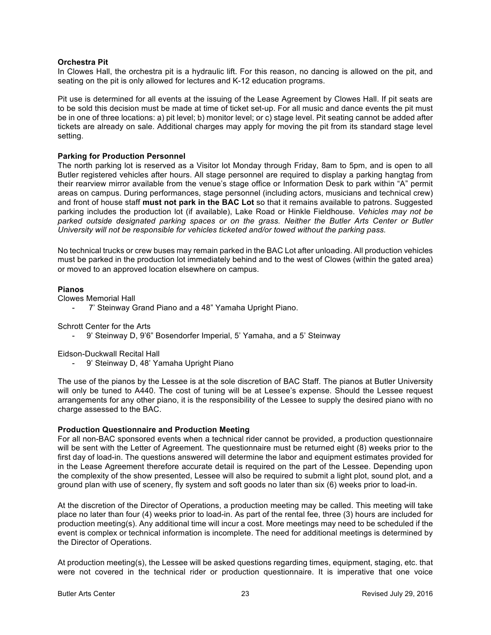#### **Orchestra Pit**

In Clowes Hall, the orchestra pit is a hydraulic lift. For this reason, no dancing is allowed on the pit, and seating on the pit is only allowed for lectures and K-12 education programs.

Pit use is determined for all events at the issuing of the Lease Agreement by Clowes Hall. If pit seats are to be sold this decision must be made at time of ticket set-up. For all music and dance events the pit must be in one of three locations: a) pit level; b) monitor level; or c) stage level. Pit seating cannot be added after tickets are already on sale. Additional charges may apply for moving the pit from its standard stage level setting.

#### **Parking for Production Personnel**

The north parking lot is reserved as a Visitor lot Monday through Friday, 8am to 5pm, and is open to all Butler registered vehicles after hours. All stage personnel are required to display a parking hangtag from their rearview mirror available from the venue's stage office or Information Desk to park within "A" permit areas on campus. During performances, stage personnel (including actors, musicians and technical crew) and front of house staff **must not park in the BAC Lot** so that it remains available to patrons. Suggested parking includes the production lot (if available), Lake Road or Hinkle Fieldhouse. *Vehicles may not be parked outside designated parking spaces or on the grass. Neither the Butler Arts Center or Butler University will not be responsible for vehicles ticketed and/or towed without the parking pass.*

No technical trucks or crew buses may remain parked in the BAC Lot after unloading. All production vehicles must be parked in the production lot immediately behind and to the west of Clowes (within the gated area) or moved to an approved location elsewhere on campus.

#### **Pianos**

Clowes Memorial Hall

7' Steinway Grand Piano and a 48" Yamaha Upright Piano.

Schrott Center for the Arts

- 9' Steinway D, 9'6" Bosendorfer Imperial, 5' Yamaha, and a 5' Steinway

Eidson-Duckwall Recital Hall

9' Steinway D, 48' Yamaha Upright Piano

The use of the pianos by the Lessee is at the sole discretion of BAC Staff. The pianos at Butler University will only be tuned to A440. The cost of tuning will be at Lessee's expense. Should the Lessee request arrangements for any other piano, it is the responsibility of the Lessee to supply the desired piano with no charge assessed to the BAC.

#### **Production Questionnaire and Production Meeting**

For all non-BAC sponsored events when a technical rider cannot be provided, a production questionnaire will be sent with the Letter of Agreement. The questionnaire must be returned eight (8) weeks prior to the first day of load-in. The questions answered will determine the labor and equipment estimates provided for in the Lease Agreement therefore accurate detail is required on the part of the Lessee. Depending upon the complexity of the show presented, Lessee will also be required to submit a light plot, sound plot, and a ground plan with use of scenery, fly system and soft goods no later than six (6) weeks prior to load-in.

At the discretion of the Director of Operations, a production meeting may be called. This meeting will take place no later than four (4) weeks prior to load-in. As part of the rental fee, three (3) hours are included for production meeting(s). Any additional time will incur a cost. More meetings may need to be scheduled if the event is complex or technical information is incomplete. The need for additional meetings is determined by the Director of Operations.

At production meeting(s), the Lessee will be asked questions regarding times, equipment, staging, etc. that were not covered in the technical rider or production questionnaire. It is imperative that one voice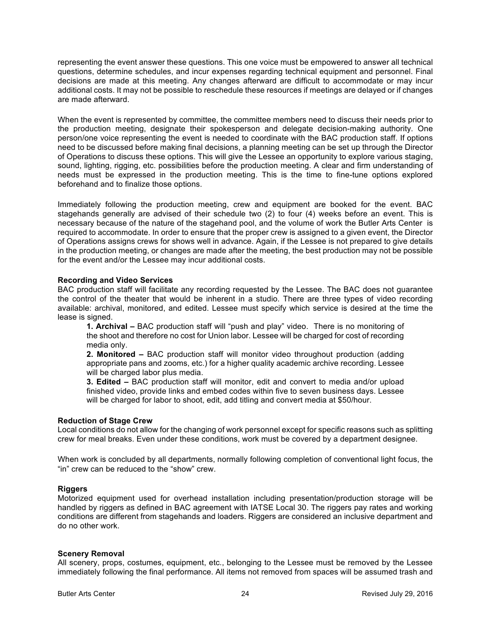representing the event answer these questions. This one voice must be empowered to answer all technical questions, determine schedules, and incur expenses regarding technical equipment and personnel. Final decisions are made at this meeting. Any changes afterward are difficult to accommodate or may incur additional costs. It may not be possible to reschedule these resources if meetings are delayed or if changes are made afterward.

When the event is represented by committee, the committee members need to discuss their needs prior to the production meeting, designate their spokesperson and delegate decision-making authority. One person/one voice representing the event is needed to coordinate with the BAC production staff. If options need to be discussed before making final decisions, a planning meeting can be set up through the Director of Operations to discuss these options. This will give the Lessee an opportunity to explore various staging, sound, lighting, rigging, etc. possibilities before the production meeting. A clear and firm understanding of needs must be expressed in the production meeting. This is the time to fine-tune options explored beforehand and to finalize those options.

Immediately following the production meeting, crew and equipment are booked for the event. BAC stagehands generally are advised of their schedule two (2) to four (4) weeks before an event. This is necessary because of the nature of the stagehand pool, and the volume of work the Butler Arts Center is required to accommodate. In order to ensure that the proper crew is assigned to a given event, the Director of Operations assigns crews for shows well in advance. Again, if the Lessee is not prepared to give details in the production meeting, or changes are made after the meeting, the best production may not be possible for the event and/or the Lessee may incur additional costs.

#### **Recording and Video Services**

BAC production staff will facilitate any recording requested by the Lessee. The BAC does not guarantee the control of the theater that would be inherent in a studio. There are three types of video recording available: archival, monitored, and edited. Lessee must specify which service is desired at the time the lease is signed.

**1. Archival –** BAC production staff will "push and play" video. There is no monitoring of the shoot and therefore no cost for Union labor. Lessee will be charged for cost of recording media only.

**2. Monitored –** BAC production staff will monitor video throughout production (adding appropriate pans and zooms, etc.) for a higher quality academic archive recording. Lessee will be charged labor plus media.

**3. Edited –** BAC production staff will monitor, edit and convert to media and/or upload finished video, provide links and embed codes within five to seven business days. Lessee will be charged for labor to shoot, edit, add titling and convert media at \$50/hour.

#### **Reduction of Stage Crew**

Local conditions do not allow for the changing of work personnel except for specific reasons such as splitting crew for meal breaks. Even under these conditions, work must be covered by a department designee.

When work is concluded by all departments, normally following completion of conventional light focus, the "in" crew can be reduced to the "show" crew.

#### **Riggers**

Motorized equipment used for overhead installation including presentation/production storage will be handled by riggers as defined in BAC agreement with IATSE Local 30. The riggers pay rates and working conditions are different from stagehands and loaders. Riggers are considered an inclusive department and do no other work.

#### **Scenery Removal**

All scenery, props, costumes, equipment, etc., belonging to the Lessee must be removed by the Lessee immediately following the final performance. All items not removed from spaces will be assumed trash and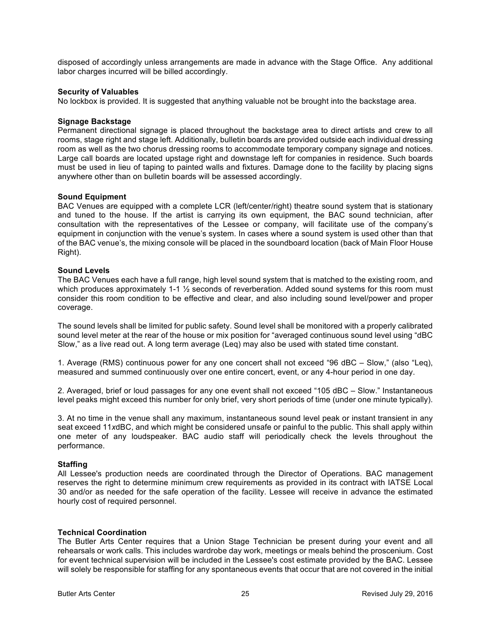disposed of accordingly unless arrangements are made in advance with the Stage Office. Any additional labor charges incurred will be billed accordingly.

#### **Security of Valuables**

No lockbox is provided. It is suggested that anything valuable not be brought into the backstage area.

#### **Signage Backstage**

Permanent directional signage is placed throughout the backstage area to direct artists and crew to all rooms, stage right and stage left. Additionally, bulletin boards are provided outside each individual dressing room as well as the two chorus dressing rooms to accommodate temporary company signage and notices. Large call boards are located upstage right and downstage left for companies in residence. Such boards must be used in lieu of taping to painted walls and fixtures. Damage done to the facility by placing signs anywhere other than on bulletin boards will be assessed accordingly.

#### **Sound Equipment**

BAC Venues are equipped with a complete LCR (left/center/right) theatre sound system that is stationary and tuned to the house. If the artist is carrying its own equipment, the BAC sound technician, after consultation with the representatives of the Lessee or company, will facilitate use of the company's equipment in conjunction with the venue's system. In cases where a sound system is used other than that of the BAC venue's, the mixing console will be placed in the soundboard location (back of Main Floor House Right).

#### **Sound Levels**

The BAC Venues each have a full range, high level sound system that is matched to the existing room, and which produces approximately 1-1  $\frac{1}{2}$  seconds of reverberation. Added sound systems for this room must consider this room condition to be effective and clear, and also including sound level/power and proper coverage.

The sound levels shall be limited for public safety. Sound level shall be monitored with a properly calibrated sound level meter at the rear of the house or mix position for "averaged continuous sound level using "dBC Slow," as a live read out. A long term average (Leq) may also be used with stated time constant.

1. Average (RMS) continuous power for any one concert shall not exceed "96 dBC – Slow," (also "Leq), measured and summed continuously over one entire concert, event, or any 4-hour period in one day.

2. Averaged, brief or loud passages for any one event shall not exceed "105 dBC – Slow." Instantaneous level peaks might exceed this number for only brief, very short periods of time (under one minute typically).

3. At no time in the venue shall any maximum, instantaneous sound level peak or instant transient in any seat exceed 11*x*dBC, and which might be considered unsafe or painful to the public. This shall apply within one meter of any loudspeaker. BAC audio staff will periodically check the levels throughout the performance.

#### **Staffing**

All Lessee's production needs are coordinated through the Director of Operations. BAC management reserves the right to determine minimum crew requirements as provided in its contract with IATSE Local 30 and/or as needed for the safe operation of the facility. Lessee will receive in advance the estimated hourly cost of required personnel.

#### **Technical Coordination**

The Butler Arts Center requires that a Union Stage Technician be present during your event and all rehearsals or work calls. This includes wardrobe day work, meetings or meals behind the proscenium. Cost for event technical supervision will be included in the Lessee's cost estimate provided by the BAC. Lessee will solely be responsible for staffing for any spontaneous events that occur that are not covered in the initial